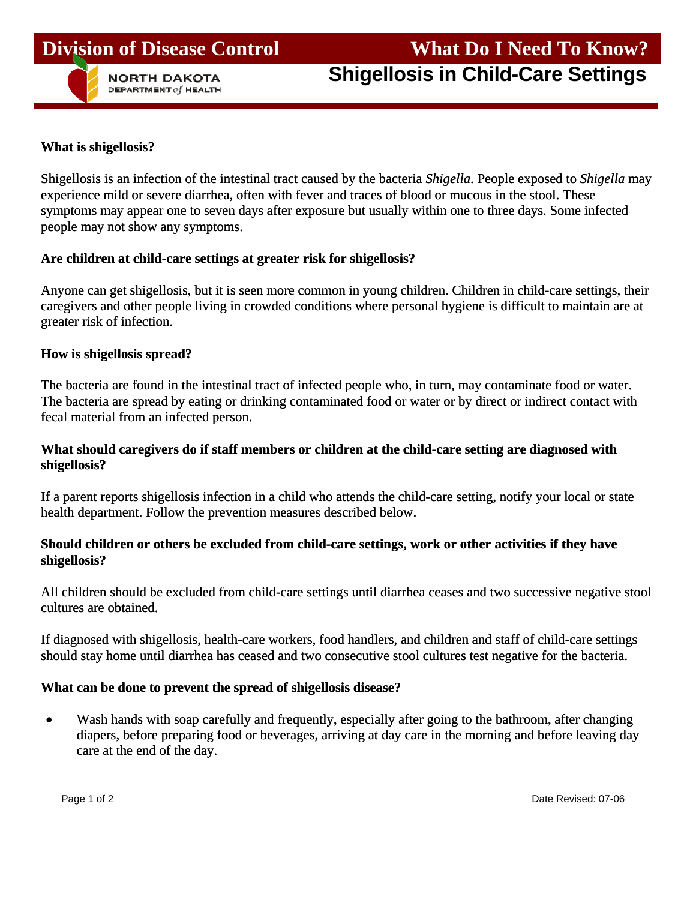

#### **What is shigellosis?**

Shigellosis is an infection of the intestinal tract caused by the bacteria *Shigella*. People exposed to *Shigella* may experience mild or severe diarrhea, often with fever and traces of blood or mucous in the stool. These symptoms may appear one to seven days after exposure but usually within one to three days. Some infected people may not show any symptoms.

#### **Are children at child-care settings at greater risk for shigellosis?**

Anyone can get shigellosis, but it is seen more common in young children. Children in child-care settings, their caregivers and other people living in crowded conditions where personal hygiene is difficult to maintain are at greater risk of infection.

#### **How is shigellosis spread?**

The bacteria are found in the intestinal tract of infected people who, in turn, may contaminate food or water. The bacteria are spread by eating or drinking contaminated food or water or by direct or indirect contact with fecal material from an infected person.

#### **What should caregivers do if staff members or children at the child-care setting are diagnosed with shigellosis?**

If a parent reports shigellosis infection in a child who attends the child-care setting, notify your local or state health department. Follow the prevention measures described below.

### **Should children or others be excluded from child-care settings, work or other activities if they have shigellosis?**

All children should be excluded from child-care settings until diarrhea ceases and two successive negative stool cultures are obtained.

If diagnosed with shigellosis, health-care workers, food handlers, and children and staff of child-care settings should stay home until diarrhea has ceased and two consecutive stool cultures test negative for the bacteria.

### **What can be done to prevent the spread of shigellosis disease?**

• Wash hands with soap carefully and frequently, especially after going to the bathroom, after changing diapers, before preparing food or beverages, arriving at day care in the morning and before leaving day care at the end of the day.